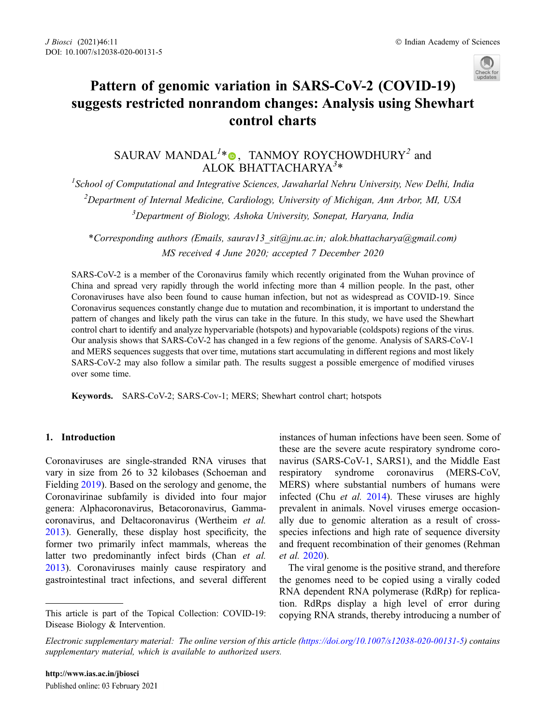

# Pattern of genomic variation in SARS-CoV-2 (COVID-19) suggests restricted nonrandom changes: Analysis using Shewhart control charts

SAURAV MANDAL<sup>1</sup>[\\*](http://orcid.org/0000-0001-9099-2039)<sup>o</sup>, TANMOY ROYCHOWDHURY<sup>2</sup> and ALOK BHATTACHARYA<sup>3\*</sup>

<sup>1</sup>School of Computational and Integrative Sciences, Jawaharlal Nehru University, New Delhi, India <sup>2</sup>Department of Internal Medicine, Cardiology, University of Michigan, Ann Arbor, MI, USA <sup>3</sup>Department of Biology, Ashoka University, Sonepat, Haryana, India

\*Corresponding authors (Emails, saurav13\_sit@jnu.ac.in; alok.bhattacharya@gmail.com) MS received 4 June 2020; accepted 7 December 2020

SARS-CoV-2 is a member of the Coronavirus family which recently originated from the Wuhan province of China and spread very rapidly through the world infecting more than 4 million people. In the past, other Coronaviruses have also been found to cause human infection, but not as widespread as COVID-19. Since Coronavirus sequences constantly change due to mutation and recombination, it is important to understand the pattern of changes and likely path the virus can take in the future. In this study, we have used the Shewhart control chart to identify and analyze hypervariable (hotspots) and hypovariable (coldspots) regions of the virus. Our analysis shows that SARS-CoV-2 has changed in a few regions of the genome. Analysis of SARS-CoV-1 and MERS sequences suggests that over time, mutations start accumulating in different regions and most likely SARS-CoV-2 may also follow a similar path. The results suggest a possible emergence of modified viruses over some time.

Keywords. SARS-CoV-2; SARS-Cov-1; MERS; Shewhart control chart; hotspots

# 1. Introduction

Coronaviruses are single-stranded RNA viruses that vary in size from 26 to 32 kilobases (Schoeman and Fielding [2019](#page-6-0)). Based on the serology and genome, the Coronavirinae subfamily is divided into four major genera: Alphacoronavirus, Betacoronavirus, Gammacoronavirus, and Deltacoronavirus (Wertheim et al. [2013](#page-6-0)). Generally, these display host specificity, the former two primarily infect mammals, whereas the latter two predominantly infect birds (Chan et al. [2013](#page-6-0)). Coronaviruses mainly cause respiratory and gastrointestinal tract infections, and several different

instances of human infections have been seen. Some of these are the severe acute respiratory syndrome coronavirus (SARS-CoV-1, SARS1), and the Middle East respiratory syndrome coronavirus (MERS-CoV, MERS) where substantial numbers of humans were infected (Chu et al. [2014](#page-6-0)). These viruses are highly prevalent in animals. Novel viruses emerge occasionally due to genomic alteration as a result of crossspecies infections and high rate of sequence diversity and frequent recombination of their genomes (Rehman et al. [2020\)](#page-6-0).

The viral genome is the positive strand, and therefore the genomes need to be copied using a virally coded RNA dependent RNA polymerase (RdRp) for replication. RdRps display a high level of error during This article is part of the Topical Collection: COVID-19: copying RNA strands, thereby introducing a number of

Disease Biology & Intervention.

Electronic supplementary material: The online version of this article (<https://doi.org/10.1007/s12038-020-00131-5>) contains supplementary material, which is available to authorized users.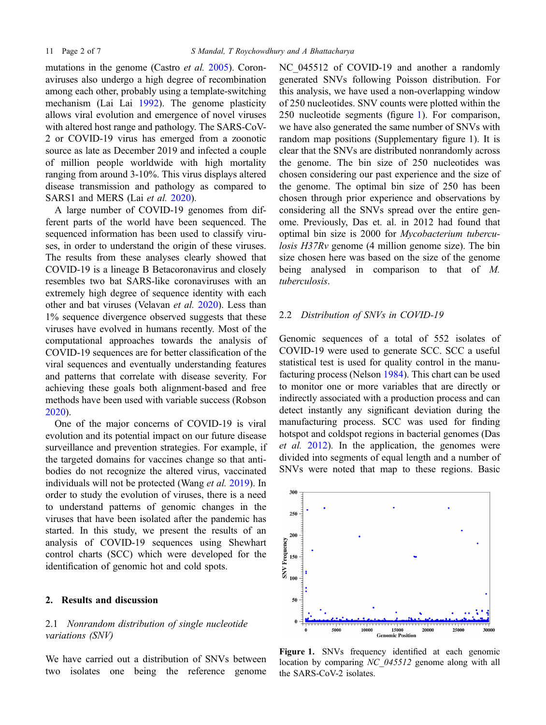<span id="page-1-0"></span>mutations in the genome (Castro *et al.* [2005](#page-6-0)). Coronaviruses also undergo a high degree of recombination among each other, probably using a template-switching mechanism (Lai Lai [1992](#page-6-0)). The genome plasticity allows viral evolution and emergence of novel viruses with altered host range and pathology. The SARS-CoV-2 or COVID-19 virus has emerged from a zoonotic source as late as December 2019 and infected a couple of million people worldwide with high mortality ranging from around 3-10%. This virus displays altered disease transmission and pathology as compared to SARS1 and MERS (Lai et al. [2020](#page-6-0)).

A large number of COVID-19 genomes from different parts of the world have been sequenced. The sequenced information has been used to classify viruses, in order to understand the origin of these viruses. The results from these analyses clearly showed that COVID-19 is a lineage B Betacoronavirus and closely resembles two bat SARS-like coronaviruses with an extremely high degree of sequence identity with each other and bat viruses (Velavan et al. [2020\)](#page-6-0). Less than 1% sequence divergence observed suggests that these viruses have evolved in humans recently. Most of the computational approaches towards the analysis of COVID-19 sequences are for better classification of the viral sequences and eventually understanding features and patterns that correlate with disease severity. For achieving these goals both alignment-based and free methods have been used with variable success (Robson [2020](#page-6-0)).

One of the major concerns of COVID-19 is viral evolution and its potential impact on our future disease surveillance and prevention strategies. For example, if the targeted domains for vaccines change so that antibodies do not recognize the altered virus, vaccinated individuals will not be protected (Wang et al. [2019](#page-6-0)). In order to study the evolution of viruses, there is a need to understand patterns of genomic changes in the viruses that have been isolated after the pandemic has started. In this study, we present the results of an analysis of COVID-19 sequences using Shewhart control charts (SCC) which were developed for the identification of genomic hot and cold spots.

### 2. Results and discussion

# 2.1 Nonrandom distribution of single nucleotide variations (SNV)

We have carried out a distribution of SNVs between two isolates one being the reference genome NC 045512 of COVID-19 and another a randomly generated SNVs following Poisson distribution. For this analysis, we have used a non-overlapping window of 250 nucleotides. SNV counts were plotted within the 250 nucleotide segments (figure 1). For comparison, we have also generated the same number of SNVs with random map positions (Supplementary figure 1). It is clear that the SNVs are distributed nonrandomly across the genome. The bin size of 250 nucleotides was chosen considering our past experience and the size of the genome. The optimal bin size of 250 has been chosen through prior experience and observations by considering all the SNVs spread over the entire genome. Previously, Das et. al. in 2012 had found that optimal bin size is 2000 for Mycobacterium tuberculosis H37Rv genome (4 million genome size). The bin size chosen here was based on the size of the genome being analysed in comparison to that of M. tuberculosis.

# 2.2 Distribution of SNVs in COVID-19

Genomic sequences of a total of 552 isolates of COVID-19 were used to generate SCC. SCC a useful statistical test is used for quality control in the manufacturing process (Nelson [1984](#page-6-0)). This chart can be used to monitor one or more variables that are directly or indirectly associated with a production process and can detect instantly any significant deviation during the manufacturing process. SCC was used for finding hotspot and coldspot regions in bacterial genomes (Das et al. [2012\)](#page-6-0). In the application, the genomes were divided into segments of equal length and a number of SNVs were noted that map to these regions. Basic



Figure 1. SNVs frequency identified at each genomic location by comparing NC 045512 genome along with all the SARS-CoV-2 isolates.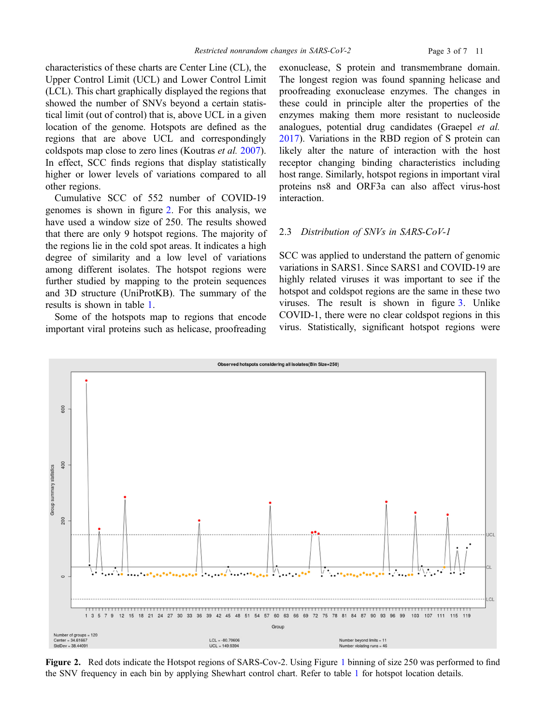<span id="page-2-0"></span>characteristics of these charts are Center Line (CL), the Upper Control Limit (UCL) and Lower Control Limit (LCL). This chart graphically displayed the regions that showed the number of SNVs beyond a certain statistical limit (out of control) that is, above UCL in a given location of the genome. Hotspots are defined as the regions that are above UCL and correspondingly coldspots map close to zero lines (Koutras et al. [2007](#page-6-0)). In effect, SCC finds regions that display statistically higher or lower levels of variations compared to all other regions.

Cumulative SCC of 552 number of COVID-19 genomes is shown in figure 2. For this analysis, we have used a window size of 250. The results showed that there are only 9 hotspot regions. The majority of the regions lie in the cold spot areas. It indicates a high degree of similarity and a low level of variations among different isolates. The hotspot regions were further studied by mapping to the protein sequences and 3D structure (UniProtKB). The summary of the results is shown in table [1.](#page-3-0)

Some of the hotspots map to regions that encode important viral proteins such as helicase, proofreading

exonuclease, S protein and transmembrane domain. The longest region was found spanning helicase and proofreading exonuclease enzymes. The changes in these could in principle alter the properties of the enzymes making them more resistant to nucleoside analogues, potential drug candidates (Graepel et al. [2017\)](#page-6-0). Variations in the RBD region of S protein can likely alter the nature of interaction with the host receptor changing binding characteristics including host range. Similarly, hotspot regions in important viral proteins ns8 and ORF3a can also affect virus-host interaction.

#### 2.3 Distribution of SNVs in SARS-CoV-1

SCC was applied to understand the pattern of genomic variations in SARS1. Since SARS1 and COVID-19 are highly related viruses it was important to see if the hotspot and coldspot regions are the same in these two viruses. The result is shown in figure [3](#page-4-0). Unlike COVID-1, there were no clear coldspot regions in this virus. Statistically, significant hotspot regions were



Figure 2. Red dots indicate the Hotspot regions of SARS-Cov-2. Using Figure [1](#page-1-0) binning of size 250 was performed to find the SNV frequency in each bin by applying Shewhart control chart. Refer to table [1](#page-3-0) for hotspot location details.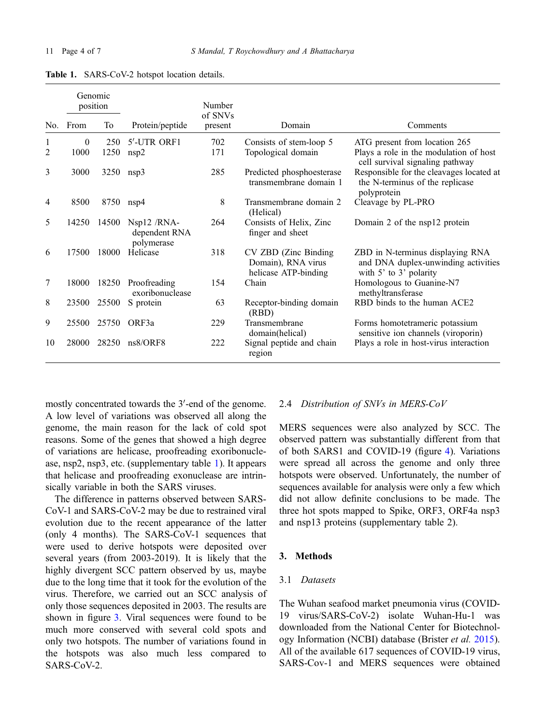|                | Genomic<br>position |       |                                            | Number<br>of SNVs |                                                                     |                                                                                                       |
|----------------|---------------------|-------|--------------------------------------------|-------------------|---------------------------------------------------------------------|-------------------------------------------------------------------------------------------------------|
| No.            | From                | To    | Protein/peptide                            | present           | Domain                                                              | Comments                                                                                              |
| 1              | $\theta$            | 250   | 5'-UTR ORF1                                | 702               | Consists of stem-loop 5                                             | ATG present from location 265                                                                         |
| 2              | 1000                | 1250  | nsp2                                       | 171               | Topological domain                                                  | Plays a role in the modulation of host<br>cell survival signaling pathway                             |
| 3              | 3000                | 3250  | nsp3                                       | 285               | Predicted phosphoesterase<br>transmembrane domain 1                 | Responsible for the cleavages located at<br>the N-terminus of the replicase<br>polyprotein            |
| $\overline{4}$ | 8500                | 8750  | nsp4                                       | 8                 | Transmembrane domain 2<br>(Helical)                                 | Cleavage by PL-PRO                                                                                    |
| 5              | 14250               | 14500 | Nsp12 /RNA-<br>dependent RNA<br>polymerase | 264               | Consists of Helix, Zinc<br>finger and sheet                         | Domain 2 of the nsp12 protein                                                                         |
| 6              | 17500               | 18000 | Helicase                                   | 318               | CV ZBD (Zinc Binding)<br>Domain), RNA virus<br>helicase ATP-binding | ZBD in N-terminus displaying RNA<br>and DNA duplex-unwinding activities<br>with $5'$ to $3'$ polarity |
| 7              | 18000               | 18250 | Proofreading<br>exoribonuclease            | 154               | Chain                                                               | Homologous to Guanine-N7<br>methyltransferase                                                         |
| 8              | 23500               | 25500 | S protein                                  | 63                | Receptor-binding domain<br>(RBD)                                    | RBD binds to the human ACE2                                                                           |
| 9              | 25500               | 25750 | ORF3a                                      | 229               | Transmembrane<br>domain(helical)                                    | Forms homotetrameric potassium<br>sensitive ion channels (viroporin)                                  |
| 10             | 28000               | 28250 | ns8/ORF8                                   | 222               | Signal peptide and chain<br>region                                  | Plays a role in host-virus interaction                                                                |

<span id="page-3-0"></span>Table 1. SARS-CoV-2 hotspot location details.

mostly concentrated towards the 3'-end of the genome. A low level of variations was observed all along the genome, the main reason for the lack of cold spot reasons. Some of the genes that showed a high degree of variations are helicase, proofreading exoribonuclease, nsp2, nsp3, etc. (supplementary table 1). It appears that helicase and proofreading exonuclease are intrinsically variable in both the SARS viruses.

The difference in patterns observed between SARS-CoV-1 and SARS-CoV-2 may be due to restrained viral evolution due to the recent appearance of the latter (only 4 months). The SARS-CoV-1 sequences that were used to derive hotspots were deposited over several years (from 2003-2019). It is likely that the highly divergent SCC pattern observed by us, maybe due to the long time that it took for the evolution of the virus. Therefore, we carried out an SCC analysis of only those sequences deposited in 2003. The results are shown in figure [3.](#page-4-0) Viral sequences were found to be much more conserved with several cold spots and only two hotspots. The number of variations found in the hotspots was also much less compared to SARS-CoV-2.

#### 2.4 Distribution of SNVs in MERS-CoV

MERS sequences were also analyzed by SCC. The observed pattern was substantially different from that of both SARS1 and COVID-19 (figure [4](#page-5-0)). Variations were spread all across the genome and only three hotspots were observed. Unfortunately, the number of sequences available for analysis were only a few which did not allow definite conclusions to be made. The three hot spots mapped to Spike, ORF3, ORF4a nsp3 and nsp13 proteins (supplementary table 2).

## 3. Methods

# 3.1 Datasets

The Wuhan seafood market pneumonia virus (COVID-19 virus/SARS-CoV-2) isolate Wuhan-Hu-1 was downloaded from the National Center for Biotechnology Information (NCBI) database (Brister et al. [2015](#page-6-0)). All of the available 617 sequences of COVID-19 virus, SARS-Cov-1 and MERS sequences were obtained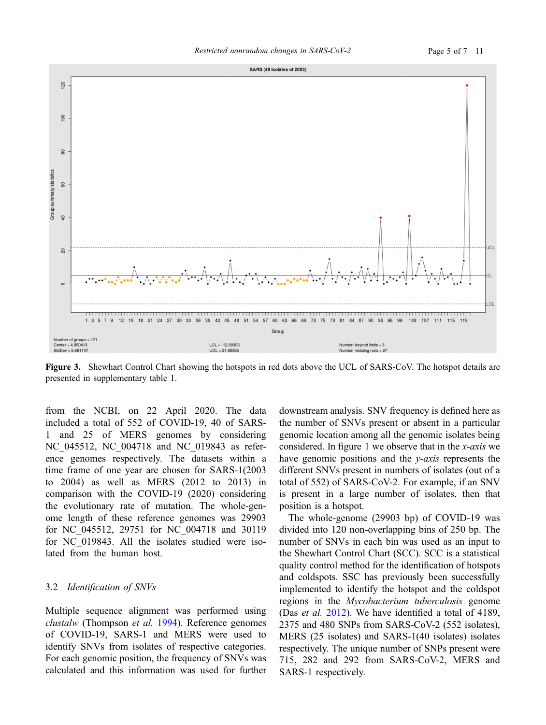<span id="page-4-0"></span>

Figure 3. Shewhart Control Chart showing the hotspots in red dots above the UCL of SARS-CoV. The hotspot details are presented in supplementary table 1.

from the NCBI, on 22 April 2020. The data included a total of 552 of COVID-19, 40 of SARS-1 and 25 of MERS genomes by considering NC\_045512, NC\_004718 and NC\_019843 as reference genomes respectively. The datasets within a time frame of one year are chosen for SARS-1(2003 to 2004) as well as MERS (2012 to 2013) in comparison with the COVID-19 (2020) considering the evolutionary rate of mutation. The whole-genome length of these reference genomes was 29903 for NC\_045512, 29751 for NC\_004718 and 30119 for NC\_019843. All the isolates studied were isolated from the human host.

#### 3.2 Identification of SNVs

Multiple sequence alignment was performed using clustalw (Thompson et al. [1994](#page-6-0)). Reference genomes of COVID-19, SARS-1 and MERS were used to identify SNVs from isolates of respective categories. For each genomic position, the frequency of SNVs was calculated and this information was used for further

downstream analysis. SNV frequency is defined here as the number of SNVs present or absent in a particular genomic location among all the genomic isolates being considered. In figure [1](#page-1-0) we observe that in the x-axis we have genomic positions and the *y-axis* represents the different SNVs present in numbers of isolates (out of a total of 552) of SARS-CoV-2. For example, if an SNV is present in a large number of isolates, then that position is a hotspot.

The whole-genome (29903 bp) of COVID-19 was divided into 120 non-overlapping bins of 250 bp. The number of SNVs in each bin was used as an input to the Shewhart Control Chart (SCC). SCC is a statistical quality control method for the identification of hotspots and coldspots. SSC has previously been successfully implemented to identify the hotspot and the coldspot regions in the Mycobacterium tuberculosis genome (Das et al. [2012\)](#page-6-0). We have identified a total of 4189, 2375 and 480 SNPs from SARS-CoV-2 (552 isolates), MERS (25 isolates) and SARS-1(40 isolates) isolates respectively. The unique number of SNPs present were 715, 282 and 292 from SARS-CoV-2, MERS and SARS-1 respectively.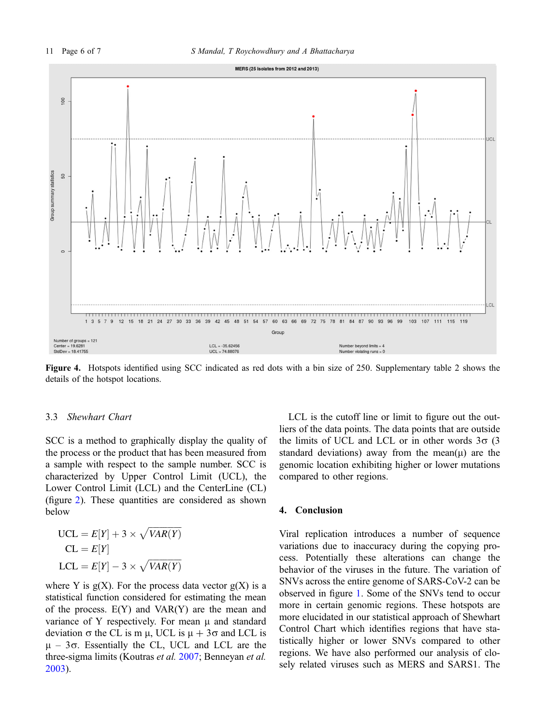<span id="page-5-0"></span>

Figure 4. Hotspots identified using SCC indicated as red dots with a bin size of 250. Supplementary table 2 shows the details of the hotspot locations.

#### 3.3 Shewhart Chart

SCC is a method to graphically display the quality of the process or the product that has been measured from a sample with respect to the sample number. SCC is characterized by Upper Control Limit (UCL), the Lower Control Limit (LCL) and the CenterLine (CL) (figure [2\)](#page-2-0). These quantities are considered as shown below

$$
UCL = E[Y] + 3 \times \sqrt{VAR(Y)}
$$
  
CL = E[Y]  
LCL = E[Y] - 3 \times \sqrt{VAR(Y)}

where Y is  $g(X)$ . For the process data vector  $g(X)$  is a statistical function considered for estimating the mean of the process. E(Y) and VAR(Y) are the mean and variance of Y respectively. For mean  $\mu$  and standard deviation  $\sigma$  the CL is m  $\mu$ , UCL is  $\mu + 3\sigma$  and LCL is  $\mu$  – 3 $\sigma$ . Essentially the CL, UCL and LCL are the three-sigma limits (Koutras et al. [2007](#page-6-0); Benneyan et al. [2003](#page-6-0)).

LCL is the cutoff line or limit to figure out the outliers of the data points. The data points that are outside the limits of UCL and LCL or in other words  $3\sigma$  (3) standard deviations) away from the mean $(\mu)$  are the genomic location exhibiting higher or lower mutations compared to other regions.

## 4. Conclusion

Viral replication introduces a number of sequence variations due to inaccuracy during the copying process. Potentially these alterations can change the behavior of the viruses in the future. The variation of SNVs across the entire genome of SARS-CoV-2 can be observed in figure [1.](#page-1-0) Some of the SNVs tend to occur more in certain genomic regions. These hotspots are more elucidated in our statistical approach of Shewhart Control Chart which identifies regions that have statistically higher or lower SNVs compared to other regions. We have also performed our analysis of closely related viruses such as MERS and SARS1. The